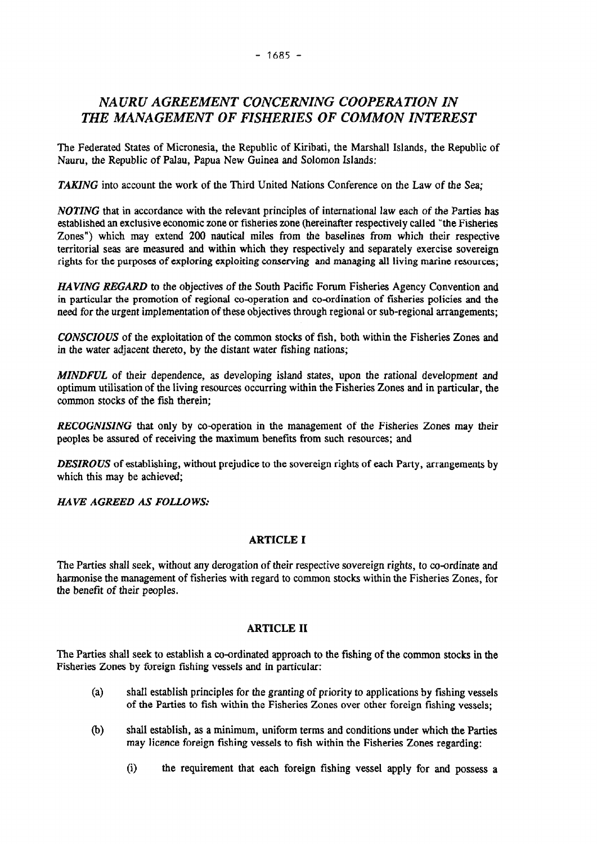# *NAURU AGREEMENT CONCERNING COOPERATION IN THE MANAGEMENT OF FISHERIES OF COMMON INTEREST*

The Federated States of Micronesia, the Republic of Kiribati, the Marshall Islands, the Republic of Nauru, the Republic of Palau, Papua New Guinea and Solomon Islands:

*TAKING* into account the work of the Third United Nations Conference on the Law of the Sea;

*NOTING* that in accordance with the relevant principles of international law each of the Parties has established an exclusive economic zone or fisheries zone (hereinafter respectively called "the Fisheries Zones") which may extend 200 nautical miles from the baselines from which their respective territorial seas are measured and within which they respectively and separately exercise sovereign rights for the purposes of exploring exploiting conserving and managing all living marine resources;

*HAVING REGARD* to the objectives of the South Pacific Forum Fisheries Agency Convention and in particular the promotion of regional co-operation and co-ordination of fisheries policies and the need for the urgent implementation of these objectives through regional or sub-regional arrangements;

*CONSCIOUS* of the exploitation of the common stocks of fish, both within the Fisheries Zones and in the water adjacent thereto, by the distant water fishing nations;

*MINDFUL* of their dependence, as developing island states, upon the rational development and optimum utilisation of the living resources occurring within the Fisheries Zones and in particular, the common stocks of the fish therein;

*RECOGNISING* that only by co-operation in the management of the Fisheries Zones may their peoples be assured of receiving the maximum benefits from such resources; and

*DESIROUS* of establishing, without prejudice to the sovereign rights of each Party, arrangements by which this may be achieved;

*HAVE AGREED AS FOLLOWS..*

## ARTICLE I

The Parties shall seek, without any derogation of their respective sovereign rights, to co-ordinate and harmonise the management of fisheries with regard to common stocks within the Fisheries Zones, for the benefit of their peoples.

### ARTICLE II

The Parties shall seek to establish a co-ordinated approach to the fishing of the common stocks in the Fisheries Zones by foreign fishing vessels and in particular:

- (a) shall establish principles for the granting of priority to applications by fishing vessels of the Parties to fish within the Fisheries Zones over other foreign fishing vessels;
- (b) shall establish, as a minimum, uniform terms and conditions under which the Parties may licence foreign fishing vessels to fish within the Fisheries Zones regarding:
	- (i) the requirement that each foreign fishing vessel apply for and possess a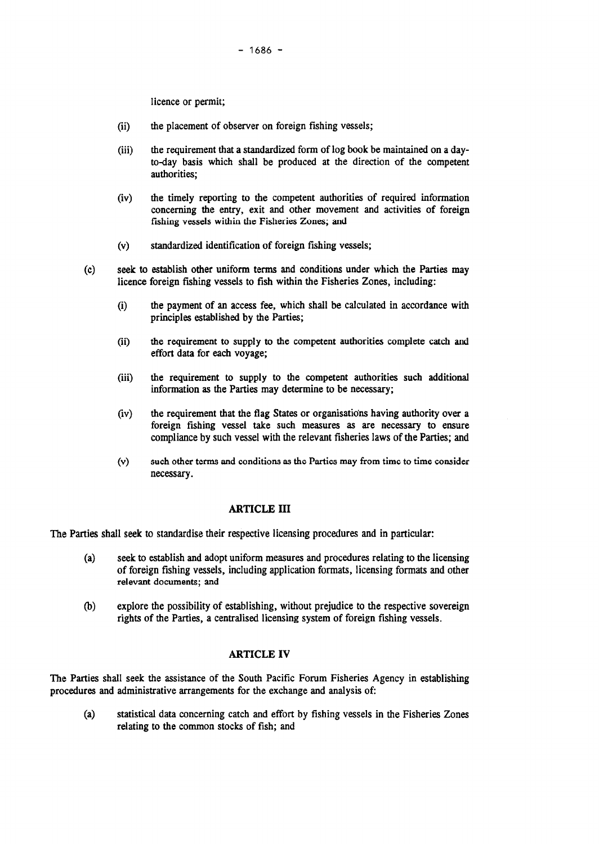licence or permit;

- (ii) the placement of observer on foreign fishing vessels;
- (iii) the requirement that a standardized form of log book be maintained on a dayto-day basis which shall be produced at the direction of the competent authorities;
- (iv) the timely reporting to the competent authorities of required information concerning the entry, exit and other movement and activities of foreign fishing vessels within the Fisheries Zones; and
- (v) standardized identification of foreign fishing vessels;
- (c) seek to establish other uniform terms and conditions under which the Parties may licence foreign fishing vessels to fish within the Fisheries Zones, including:
	- (i) the payment of an access fee, which shall be calculated in accordance with principles established by the Parties;
	- (ii) the requirement to supply to the competent authorities complete catch and effort data for each voyage;
	- (iii) the requirement to supply to the competent authorities such additional information as the Parties may determine to be necessary;
	- (iv) the requirement that the flag States or organisations having authority over a foreign fishing vessel take such measures as are necessary to ensure compliance by such vessel with the relevant fisheries laws of the Parties; and
	- (v) such other terms and conditions asthe Parties may from time to time consider necessary.

## ARTICLE ill

The Parties shall seek to standardise their respective licensing procedures and in particular:

- (a) seek to establish and adopt uniform measures and procedures relating to the licensing of foreign fishing vessels, including application formats, licensing formats and other relevant documents; and
- (b) explore the possibility of establishing, without prejudice to the respective sovereign rights of the Parties, a centralised licensing system of foreign fishing vessels.

## ARTICLE IV

The Parties shall seek the assistance of the South Pacific Forum Fisheries Agency in establishing procedures and administrative arrangements for the exchange and analysis of:

(a) statistical data concerning catch and effort by fishing vessels in the Fisheries Zones relating to the common stocks of fish; and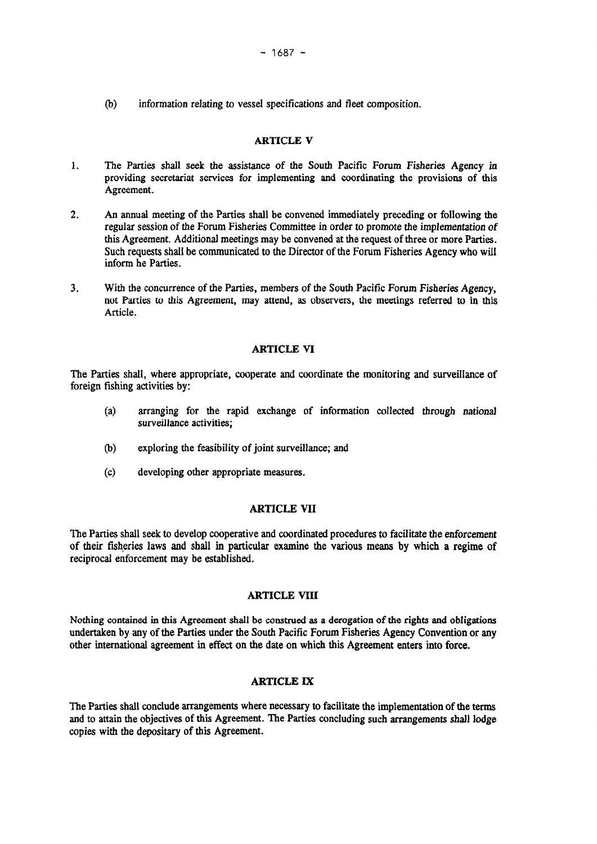(b) information relating to vessel specifications and fleet composition.

### ARTICLE V

- 1. The Parties shall seek the assistance of the South Pacific Forum Fisheries Agency in providing secretariat services for implementing and coordinating the provisions of this Agreement.
- 2. An annual meeting of the Parties shall be convened immediately preceding or following the regular session of the Forum Fisheries Committee in order to promote the implementation of this Agreement. Additional meetings may be convened at the request of three or more Parties. Such requests shall be communicated to the Director of the Forum Fisheries Agency who will inform he Parties.
- 3. With the concurrence of the Parties, members of the South Pacific Forum Fisheries Agency, not Parties to this Agreement, may attend, as observers, the meetings referred to in this Article.

#### ARTICLE VI

The Parties shall, where appropriate, cooperate and coordinate the monitoring and surveillance of foreign fishing activities by:

- (a) arranging for the rapid exchange of information collected through national surveillance activities;
- (b) exploring the feasibility of joint surveillance; and
- (c) developing other appropriate measures.

# ARTICLE VII

The Parties shall seek to develop cooperative and coordinated procedures to facilitate the enforcement of their fisheries laws and shall in particular examine the various means by which a regime of reciprocal enforcement may be established.

### ARTICLE VIII

Nothing contained in this Agreement shall be construed as a derogation of the rights and obligations undertaken by any of the Parties under the South Pacific Forum Fisheries Agency Convention or any other international agreement in effect on the date on which this Agreement enters into force.

### ARTICLE IX

The Parties shall conclude arrangements where necessary to facilitate the implementation of the terms and to attain the objectives of this Agreement. The Parties concluding such arrangements shall lodge copies with the depositary of this Agreement.